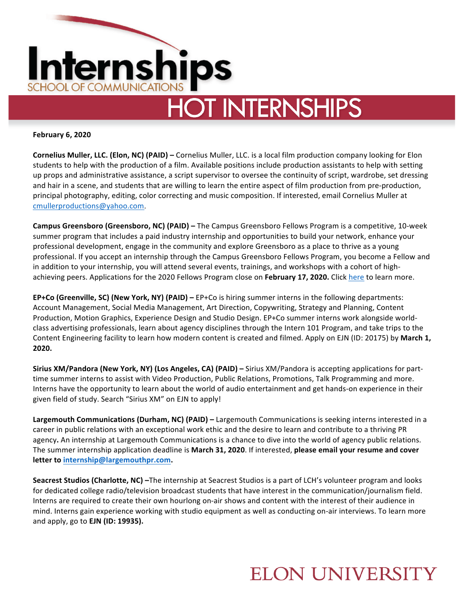

**February 6, 2020**

**Cornelius Muller, LLC. (Elon, NC) (PAID)** – Cornelius Muller, LLC. is a local film production company looking for Elon students to help with the production of a film. Available positions include production assistants to help with setting up props and administrative assistance, a script supervisor to oversee the continuity of script, wardrobe, set dressing and hair in a scene, and students that are willing to learn the entire aspect of film production from pre-production, principal photography, editing, color correcting and music composition. If interested, email Cornelius Muller at cmullerproductions@yahoo.com.

**Campus Greensboro (Greensboro, NC) (PAID)** – The Campus Greensboro Fellows Program is a competitive, 10-week summer program that includes a paid industry internship and opportunities to build your network, enhance your professional development, engage in the community and explore Greensboro as a place to thrive as a young professional. If you accept an internship through the Campus Greensboro Fellows Program, you become a Fellow and in addition to your internship, you will attend several events, trainings, and workshops with a cohort of highachieving peers. Applications for the 2020 Fellows Program close on February 17, 2020. Click here to learn more.

**EP+Co (Greenville, SC) (New York, NY) (PAID)** – EP+Co is hiring summer interns in the following departments: Account Management, Social Media Management, Art Direction, Copywriting, Strategy and Planning, Content Production, Motion Graphics, Experience Design and Studio Design. EP+Co summer interns work alongside worldclass advertising professionals, learn about agency disciplines through the Intern 101 Program, and take trips to the Content Engineering facility to learn how modern content is created and filmed. Apply on EJN (ID: 20175) by March 1, **2020.** 

**Sirius XM/Pandora (New York, NY) (Los Angeles, CA) (PAID)** – Sirius XM/Pandora is accepting applications for parttime summer interns to assist with Video Production, Public Relations, Promotions, Talk Programming and more. Interns have the opportunity to learn about the world of audio entertainment and get hands-on experience in their given field of study. Search "Sirius XM" on EJN to apply!

Largemouth Communications (Durham, NC) (PAID) – Largemouth Communications is seeking interns interested in a career in public relations with an exceptional work ethic and the desire to learn and contribute to a thriving PR agency. An internship at Largemouth Communications is a chance to dive into the world of agency public relations. The summer internship application deadline is March 31, 2020. If interested, please email your resume and cover **letter to internship@largemouthpr.com.**

**Seacrest Studios (Charlotte, NC)** –The internship at Seacrest Studios is a part of LCH's volunteer program and looks for dedicated college radio/television broadcast students that have interest in the communication/journalism field. Interns are required to create their own hourlong on-air shows and content with the interest of their audience in mind. Interns gain experience working with studio equipment as well as conducting on-air interviews. To learn more and apply, go to **EJN** (ID: 19935).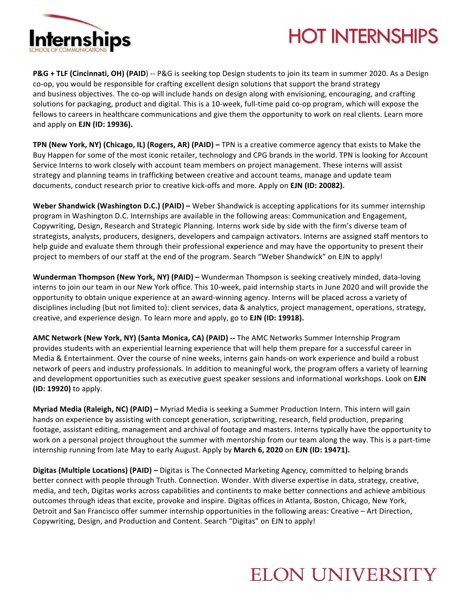

# **HOT INTERNSHIPS**

**P&G** + TLF (Cincinnati, OH) (PAID) -- P&G is seeking top Design students to join its team in summer 2020. As a Design co-op, you would be responsible for crafting excellent design solutions that support the brand strategy and business objectives. The co-op will include hands on design along with envisioning, encouraging, and crafting solutions for packaging, product and digital. This is a 10-week, full-time paid co-op program, which will expose the fellows to careers in healthcare communications and give them the opportunity to work on real clients. Learn more and apply on **EJN** (ID: 19936).

**TPN (New York, NY) (Chicago, IL) (Rogers, AR) (PAID)** – TPN is a creative commerce agency that exists to Make the Buy Happen for some of the most iconic retailer, technology and CPG brands in the world. TPN is looking for Account Service Interns to work closely with account team members on project management. These interns will assist strategy and planning teams in trafficking between creative and account teams, manage and update team documents, conduct research prior to creative kick-offs and more. Apply on **EJN (ID: 20082).** 

**Weber Shandwick (Washington D.C.) (PAID)** – Weber Shandwick is accepting applications for its summer internship program in Washington D.C. Internships are available in the following areas: Communication and Engagement, Copywriting, Design, Research and Strategic Planning. Interns work side by side with the firm's diverse team of strategists, analysts, producers, designers, developers and campaign activators. Interns are assigned staff mentors to help guide and evaluate them through their professional experience and may have the opportunity to present their project to members of our staff at the end of the program. Search "Weber Shandwick" on EJN to apply!

**Wunderman Thompson (New York, NY) (PAID)** – Wunderman Thompson is seeking creatively minded, data-loving interns to join our team in our New York office. This 10-week, paid internship starts in June 2020 and will provide the opportunity to obtain unique experience at an award-winning agency. Interns will be placed across a variety of disciplines including (but not limited to): client services, data & analytics, project management, operations, strategy, creative, and experience design. To learn more and apply, go to **EJN (ID: 19918).** 

AMC Network (New York, NY) (Santa Monica, CA) (PAID) -- The AMC Networks Summer Internship Program provides students with an experiential learning experience that will help them prepare for a successful career in Media & Entertainment. Over the course of nine weeks, interns gain hands-on work experience and build a robust network of peers and industry professionals. In addition to meaningful work, the program offers a variety of learning and development opportunities such as executive guest speaker sessions and informational workshops. Look on EJN **(ID: 19920)** to apply. 

**Myriad Media (Raleigh, NC) (PAID)** – Myriad Media is seeking a Summer Production Intern. This intern will gain hands on experience by assisting with concept generation, scriptwriting, research, field production, preparing footage, assistant editing, management and archival of footage and masters. Interns typically have the opportunity to work on a personal project throughout the summer with mentorship from our team along the way. This is a part-time internship running from late May to early August. Apply by March 6, 2020 on EJN (ID: 19471).

**Digitas (Multiple Locations) (PAID)** – Digitas is The Connected Marketing Agency, committed to helping brands better connect with people through Truth. Connection. Wonder. With diverse expertise in data, strategy, creative, media, and tech, Digitas works across capabilities and continents to make better connections and achieve ambitious outcomes through ideas that excite, provoke and inspire. Digitas offices in Atlanta, Boston, Chicago, New York, Detroit and San Francisco offer summer internship opportunities in the following areas: Creative – Art Direction, Copywriting, Design, and Production and Content. Search "Digitas" on EJN to apply!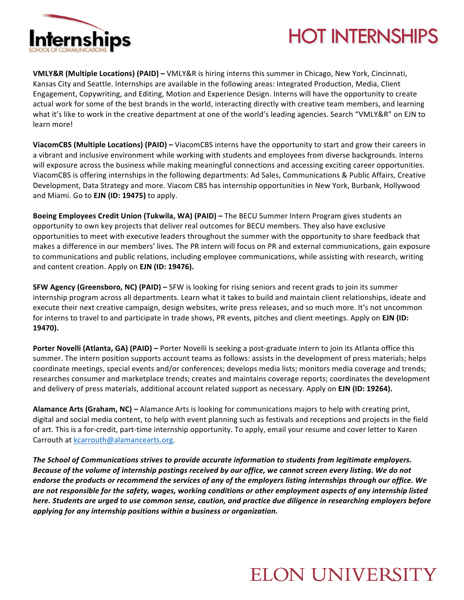

# **HOT INTERNSHIPS**

**VMLY&R (Multiple Locations) (PAID)** – VMLY&R is hiring interns this summer in Chicago, New York, Cincinnati, Kansas City and Seattle. Internships are available in the following areas: Integrated Production, Media, Client Engagement, Copywriting, and Editing, Motion and Experience Design. Interns will have the opportunity to create actual work for some of the best brands in the world, interacting directly with creative team members, and learning what it's like to work in the creative department at one of the world's leading agencies. Search "VMLY&R" on EJN to learn more!

**ViacomCBS (Multiple Locations) (PAID)** – ViacomCBS interns have the opportunity to start and grow their careers in a vibrant and inclusive environment while working with students and employees from diverse backgrounds. Interns will exposure across the business while making meaningful connections and accessing exciting career opportunities. ViacomCBS is offering internships in the following departments: Ad Sales, Communications & Public Affairs, Creative Development, Data Strategy and more. Viacom CBS has internship opportunities in New York, Burbank, Hollywood and Miami. Go to **EJN (ID: 19475)** to apply.

**Boeing Employees Credit Union (Tukwila, WA) (PAID) – The BECU Summer Intern Program gives students an** opportunity to own key projects that deliver real outcomes for BECU members. They also have exclusive opportunities to meet with executive leaders throughout the summer with the opportunity to share feedback that makes a difference in our members' lives. The PR intern will focus on PR and external communications, gain exposure to communications and public relations, including employee communications, while assisting with research, writing and content creation. Apply on **EJN (ID: 19476).** 

**SFW Agency (Greensboro, NC) (PAID) – SFW** is looking for rising seniors and recent grads to join its summer internship program across all departments. Learn what it takes to build and maintain client relationships, ideate and execute their next creative campaign, design websites, write press releases, and so much more. It's not uncommon for interns to travel to and participate in trade shows, PR events, pitches and client meetings. Apply on **EJN (ID: 19470).** 

**Porter Novelli (Atlanta, GA) (PAID)** – Porter Novelli is seeking a post-graduate intern to join its Atlanta office this summer. The intern position supports account teams as follows: assists in the development of press materials; helps coordinate meetings, special events and/or conferences; develops media lists; monitors media coverage and trends; researches consumer and marketplace trends; creates and maintains coverage reports; coordinates the development and delivery of press materials, additional account related support as necessary. Apply on **EJN (ID: 19264).** 

**Alamance Arts (Graham, NC)** – Alamance Arts is looking for communications majors to help with creating print, digital and social media content, to help with event planning such as festivals and receptions and projects in the field of art. This is a for-credit, part-time internship opportunity. To apply, email your resume and cover letter to Karen Carrouth at kcarrouth@alamancearts.org.

The School of Communications strives to provide accurate information to students from legitimate employers. Because of the volume of internship postings received by our office, we cannot screen every listing. We do not endorse the products or recommend the services of any of the employers listing internships through our office. We are not responsible for the safety, wages, working conditions or other employment aspects of any internship listed *here.* Students are urged to use common sense, caution, and practice due diligence in researching employers before applying for any internship positions within a business or organization.